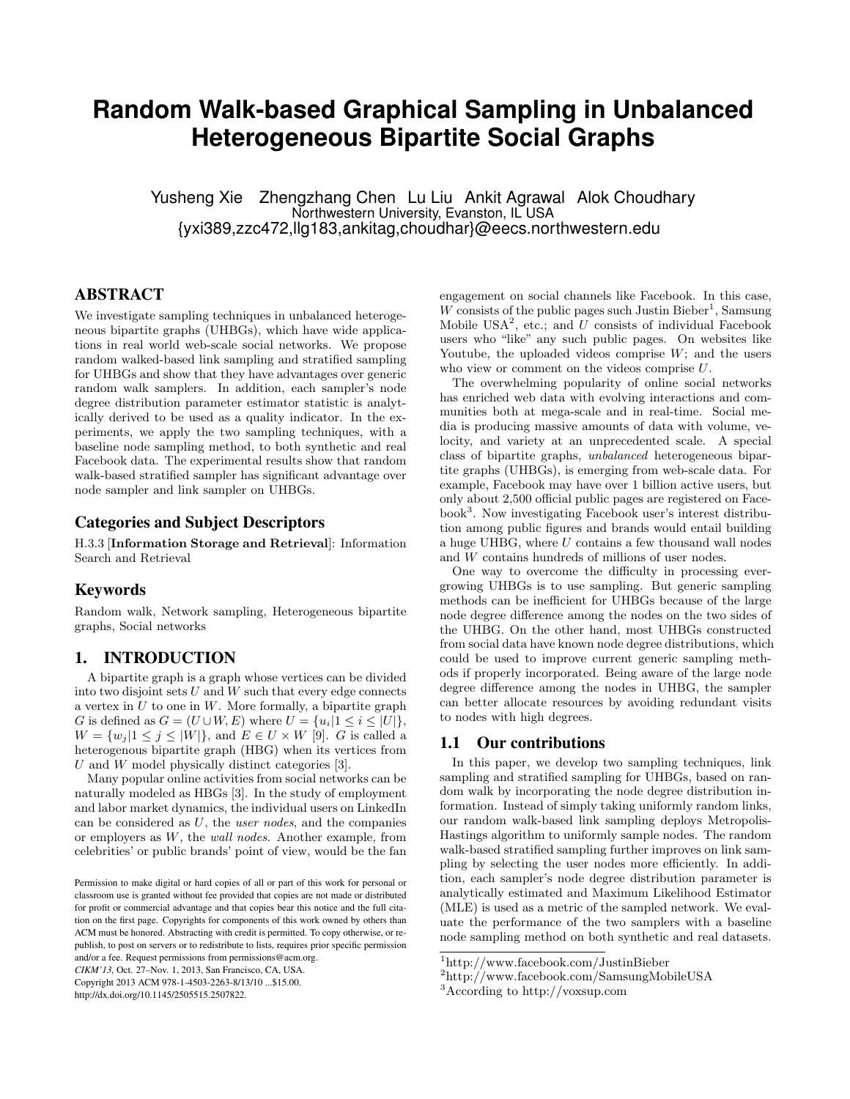# **Random Walk-based Graphical Sampling in Unbalanced Heterogeneous Bipartite Social Graphs**

Yusheng Xie Zhengzhang Chen Lu Liu Ankit Agrawal Alok Choudhary Northwestern University, Evanston, IL USA {yxi389,zzc472,llg183,ankitag,choudhar}@eecs.northwestern.edu

## ABSTRACT

We investigate sampling techniques in unbalanced heterogeneous bipartite graphs (UHBGs), which have wide applications in real world web-scale social networks. We propose random walked-based link sampling and stratified sampling for UHBGs and show that they have advantages over generic random walk samplers. In addition, each sampler's node degree distribution parameter estimator statistic is analytically derived to be used as a quality indicator. In the experiments, we apply the two sampling techniques, with a baseline node sampling method, to both synthetic and real Facebook data. The experimental results show that random walk-based stratified sampler has significant advantage over node sampler and link sampler on UHBGs.

## Categories and Subject Descriptors

H.3.3 [Information Storage and Retrieval]: Information Search and Retrieval

## Keywords

Random walk, Network sampling, Heterogeneous bipartite graphs, Social networks

## 1. INTRODUCTION

A bipartite graph is a graph whose vertices can be divided into two disjoint sets  $U$  and  $W$  such that every edge connects a vertex in  $U$  to one in  $W$ . More formally, a bipartite graph G is defined as  $G = (U \cup W, E)$  where  $U = \{u_i | 1 \leq i \leq |U|\},$  $W = \{w_j | 1 \leq j \leq |W|\}$ , and  $E \in U \times W$  [9]. G is called a heterogenous bipartite graph (HBG) when its vertices from U and W model physically distinct categories  $[3]$ .

Many popular online activities from social networks can be naturally modeled as HBGs [3]. In the study of employment and labor market dynamics, the individual users on LinkedIn can be considered as  $U$ , the *user nodes*, and the companies or employers as W, the wall nodes. Another example, from celebrities' or public brands' point of view, would be the fan

*CIKM'13,* Oct. 27–Nov. 1, 2013, San Francisco, CA, USA. Copyright 2013 ACM 978-1-4503-2263-8/13/10 ...\$15.00.

http://dx.doi.org/10.1145/2505515.2507822.

engagement on social channels like Facebook. In this case,  $W$  consists of the public pages such Justin Bieber<sup>1</sup>, Samsung Mobile USA<sup>2</sup>, etc.; and U consists of individual Facebook users who "like" any such public pages. On websites like Youtube, the uploaded videos comprise  $W$ ; and the users who view or comment on the videos comprise U.

The overwhelming popularity of online social networks has enriched web data with evolving interactions and communities both at mega-scale and in real-time. Social media is producing massive amounts of data with volume, velocity, and variety at an unprecedented scale. A special class of bipartite graphs, unbalanced heterogeneous bipartite graphs (UHBGs), is emerging from web-scale data. For example, Facebook may have over 1 billion active users, but only about 2,500 official public pages are registered on Facebook<sup>3</sup>. Now investigating Facebook user's interest distribution among public figures and brands would entail building a huge UHBG, where U contains a few thousand wall nodes and W contains hundreds of millions of user nodes.

One way to overcome the difficulty in processing evergrowing UHBGs is to use sampling. But generic sampling methods can be inefficient for UHBGs because of the large node degree difference among the nodes on the two sides of the UHBG. On the other hand, most UHBGs constructed from social data have known node degree distributions, which could be used to improve current generic sampling methods if properly incorporated. Being aware of the large node degree difference among the nodes in UHBG, the sampler can better allocate resources by avoiding redundant visits to nodes with high degrees.

#### 1.1 Our contributions

In this paper, we develop two sampling techniques, link sampling and stratified sampling for UHBGs, based on random walk by incorporating the node degree distribution information. Instead of simply taking uniformly random links, our random walk-based link sampling deploys Metropolis-Hastings algorithm to uniformly sample nodes. The random walk-based stratified sampling further improves on link sampling by selecting the user nodes more efficiently. In addition, each sampler's node degree distribution parameter is analytically estimated and Maximum Likelihood Estimator (MLE) is used as a metric of the sampled network. We evaluate the performance of the two samplers with a baseline node sampling method on both synthetic and real datasets.

Permission to make digital or hard copies of all or part of this work for personal or classroom use is granted without fee provided that copies are not made or distributed for profit or commercial advantage and that copies bear this notice and the full citation on the first page. Copyrights for components of this work owned by others than ACM must be honored. Abstracting with credit is permitted. To copy otherwise, or republish, to post on servers or to redistribute to lists, requires prior specific permission and/or a fee. Request permissions from permissions@acm.org.

<sup>1</sup>http://www.facebook.com/JustinBieber

<sup>2</sup>http://www.facebook.com/SamsungMobileUSA

<sup>3</sup>According to http://voxsup.com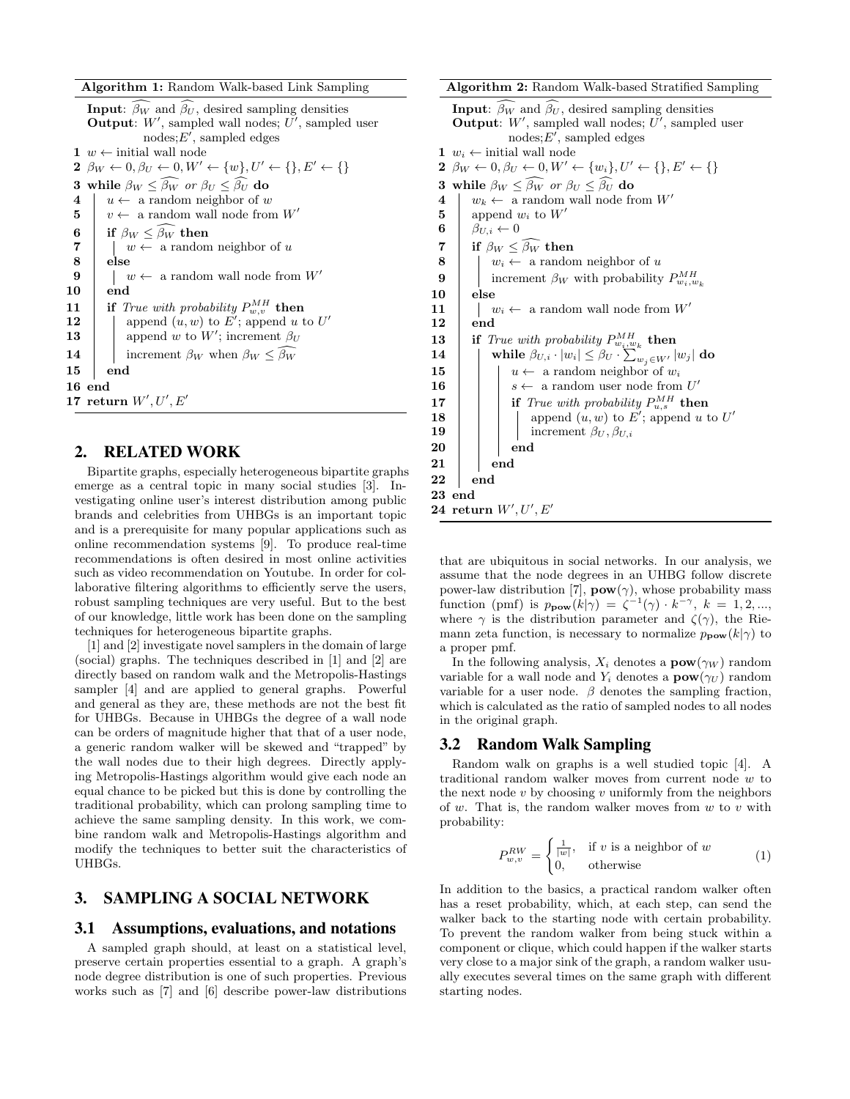Algorithm 1: Random Walk-based Link Sampling

**Input**:  $\beta_W$  and  $\beta_U$ , desired sampling densities Output:  $W'$ , sampled wall nodes;  $U'$ , sampled user  $\text{nodes}; E', \text{sampled edges}$ 1  $w$  ← initial wall node 2  $\beta_W \leftarrow 0, \beta_U \leftarrow 0, W' \leftarrow \{w\}, U' \leftarrow \{\}, E' \leftarrow \{\}$ 3 while  $\beta_W \leq \widehat{\beta_W}$  or  $\beta_U \leq \widehat{\beta_U}$  do<br>4  $\pm u \leftarrow$  a random neighbor of u  $u \leftarrow$  a random neighbor of w 5  $\vert v \leftarrow$  a random wall node from  $W'$ 6 if  $\beta_W \leq \beta_W$  then<br>7  $\mid w \leftarrow$  a random  $\vert w \leftarrow$  a random neighbor of u  $\begin{array}{c|c} 8 & else \\ 9 & 1 \end{array}$  $\vert w \leftarrow$  a random wall node from  $W'$ 10 end 11 if True with probability  $P_{w,v}^{MH}$  then 12 | append  $(u, w)$  to E'; append u to U' **13**  $\Box$  append w to W'; increment  $\beta_U$ 14  $\Big|$  increment  $\beta_W$  when  $\beta_W \leq \widehat{\beta_W}$ <br>15 end end 16 end 17 return  $W', U', E'$ 

# 2. RELATED WORK

Bipartite graphs, especially heterogeneous bipartite graphs emerge as a central topic in many social studies [3]. Investigating online user's interest distribution among public brands and celebrities from UHBGs is an important topic and is a prerequisite for many popular applications such as online recommendation systems [9]. To produce real-time recommendations is often desired in most online activities such as video recommendation on Youtube. In order for collaborative filtering algorithms to efficiently serve the users, robust sampling techniques are very useful. But to the best of our knowledge, little work has been done on the sampling techniques for heterogeneous bipartite graphs.

[1] and [2] investigate novel samplers in the domain of large (social) graphs. The techniques described in [1] and [2] are directly based on random walk and the Metropolis-Hastings sampler [4] and are applied to general graphs. Powerful and general as they are, these methods are not the best fit for UHBGs. Because in UHBGs the degree of a wall node can be orders of magnitude higher that that of a user node, a generic random walker will be skewed and "trapped" by the wall nodes due to their high degrees. Directly applying Metropolis-Hastings algorithm would give each node an equal chance to be picked but this is done by controlling the traditional probability, which can prolong sampling time to achieve the same sampling density. In this work, we combine random walk and Metropolis-Hastings algorithm and modify the techniques to better suit the characteristics of UHBGs.

## 3. SAMPLING A SOCIAL NETWORK

#### 3.1 Assumptions, evaluations, and notations

A sampled graph should, at least on a statistical level, preserve certain properties essential to a graph. A graph's node degree distribution is one of such properties. Previous works such as [7] and [6] describe power-law distributions Algorithm 2: Random Walk-based Stratified Sampling

**Input:**  $\beta_W$  and  $\beta_U$ , desired sampling densities Output:  $W'$ , sampled wall nodes;  $U'$ , sampled user  $\text{nodes}; E', \text{sampled edges}$ **1**  $w_i$  ← initial wall node 2  $\beta_W \leftarrow 0, \beta_U \leftarrow 0, W' \leftarrow \{w_i\}, U' \leftarrow \{\}, E' \leftarrow \{\}$ **3** while  $\beta_W \leq \widehat{\beta_W}$  or  $\beta_U \leq \widehat{\beta_U}$  do <br>**4**  $\mid w_k \leftarrow$  a random wall node fr 4  $w_k \leftarrow$  a random wall node from  $W'$ <br>5 append  $w_i$  to  $W'$ 5 append  $w_i$  to  $W'$ <br>6  $\beta_{U,i} \leftarrow 0$  $\beta_{U,i} \leftarrow 0$  $\begin{array}{c|c} \textbf{7} & \textbf{if } \beta_W \leq \widehat{\beta_W} \textbf{ then} \ \textbf{8} & \text{if } w_i \leftarrow \text{ a random} \end{array}$  $w_i \leftarrow$  a random neighbor of u 9 increment  $\beta_W$  with probability  $P_{w_i,w_k}^{MH}$ 10 else 11 |  $w_i \leftarrow$  a random wall node from  $W'$ 12 end **13** if True with probability  $P_{w_i,w_k}^{MH}$  then  $\begin{array}{|c|c|} \hline \textbf{14} & \textbf{while } \beta_{U,i}\cdot \lvert w_i \rvert \leq \beta_U \cdot \sum_{w_j \in W'} \lvert w_j \rvert\textbf{ do} \end{array}$ 15  $| \cdot | \cdot u \leftarrow$  a random neighbor of  $w_i$ 16 | |  $s \leftarrow$  a random user node from U' 17 | | | if True with probability  $P_{u,s}^{MH}$  then 18 | | | append  $(u, w)$  to E'; append u to U' 19 | | increment  $\beta_U, \beta_{U,i}$  $20$  | | end 21 | end  $22$  end 23 end 24 return  $W', U', E'$ 

that are ubiquitous in social networks. In our analysis, we assume that the node degrees in an UHBG follow discrete power-law distribution [7],  $\mathbf{pow}(\gamma)$ , whose probability mass function (pmf) is  $p_{\mathbf{pow}}(k|\gamma) = \zeta^{-1}(\gamma) \cdot k^{-\gamma}, k = 1, 2, ...,$ where  $\gamma$  is the distribution parameter and  $\zeta(\gamma)$ , the Riemann zeta function, is necessary to normalize  $p_{\text{pow}}(k|\gamma)$  to a proper pmf.

In the following analysis,  $X_i$  denotes a  $pow(\gamma_W)$  random variable for a wall node and  $Y_i$  denotes a  $\mathbf{pow}(\gamma_U)$  random variable for a user node.  $\beta$  denotes the sampling fraction, which is calculated as the ratio of sampled nodes to all nodes in the original graph.

#### 3.2 Random Walk Sampling

Random walk on graphs is a well studied topic [4]. A traditional random walker moves from current node w to the next node  $v$  by choosing  $v$  uniformly from the neighbors of  $w$ . That is, the random walker moves from  $w$  to  $v$  with probability:

$$
P_{w,v}^{RW} = \begin{cases} \frac{1}{|w|}, & \text{if } v \text{ is a neighbor of } w \\ 0, & \text{otherwise} \end{cases} \tag{1}
$$

In addition to the basics, a practical random walker often has a reset probability, which, at each step, can send the walker back to the starting node with certain probability. To prevent the random walker from being stuck within a component or clique, which could happen if the walker starts very close to a major sink of the graph, a random walker usually executes several times on the same graph with different starting nodes.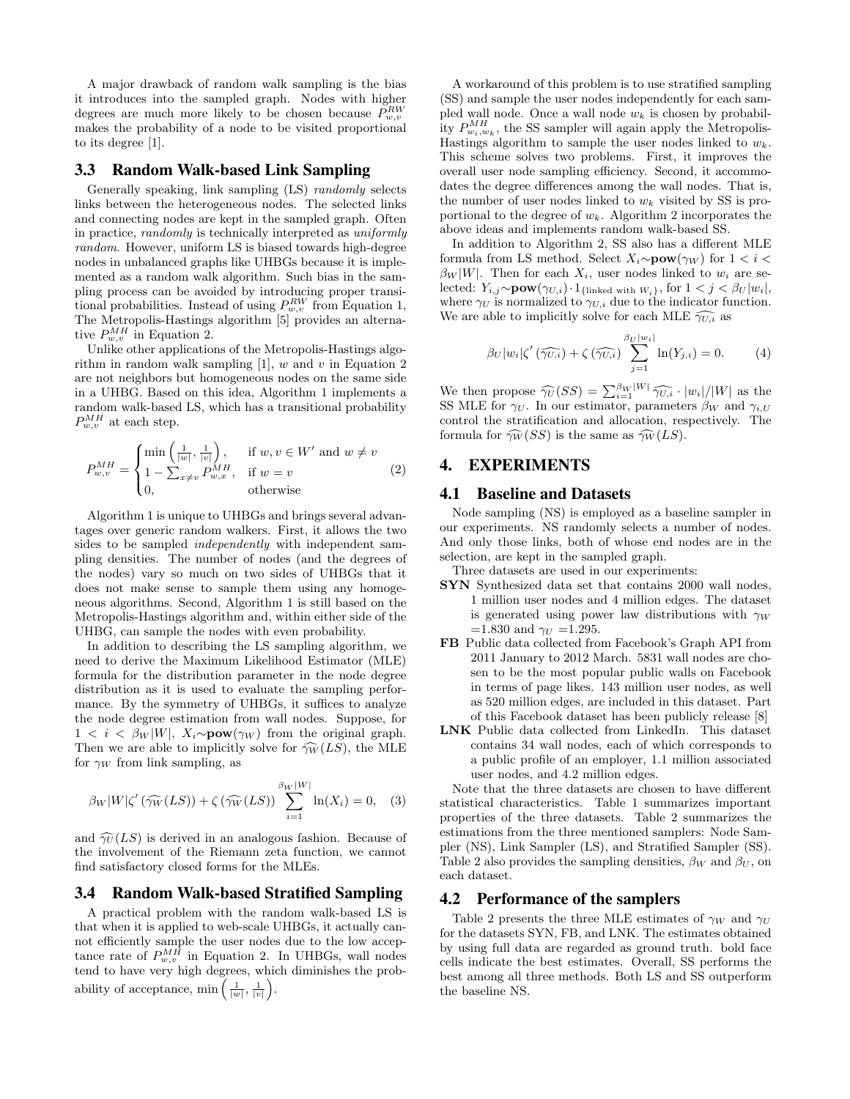A major drawback of random walk sampling is the bias it introduces into the sampled graph. Nodes with higher degrees are much more likely to be chosen because  $P_{w,v}^{RW}$ makes the probability of a node to be visited proportional to its degree [1].

### 3.3 Random Walk-based Link Sampling

Generally speaking, link sampling (LS) randomly selects links between the heterogeneous nodes. The selected links and connecting nodes are kept in the sampled graph. Often in practice, randomly is technically interpreted as uniformly random. However, uniform LS is biased towards high-degree nodes in unbalanced graphs like UHBGs because it is implemented as a random walk algorithm. Such bias in the sampling process can be avoided by introducing proper transitional probabilities. Instead of using  $P_{w,v}^{RW}$  from Equation 1, The Metropolis-Hastings algorithm [5] provides an alternative  $P_{w,v}^{MH}$  in Equation 2.

Unlike other applications of the Metropolis-Hastings algorithm in random walk sampling  $[1]$ , w and v in Equation 2 are not neighbors but homogeneous nodes on the same side in a UHBG. Based on this idea, Algorithm 1 implements a random walk-based LS, which has a transitional probability  $P_{w,v}^{MH}$  at each step.

$$
P_{w,v}^{MH} = \begin{cases} \min\left(\frac{1}{|w|}, \frac{1}{|v|}\right), & \text{if } w, v \in W' \text{ and } w \neq v \\ 1 - \sum_{x \neq v} P_{w,x}^{MH}, & \text{if } w = v \\ 0, & \text{otherwise} \end{cases}
$$
 (2)

Algorithm 1 is unique to UHBGs and brings several advantages over generic random walkers. First, it allows the two sides to be sampled *independently* with independent sampling densities. The number of nodes (and the degrees of the nodes) vary so much on two sides of UHBGs that it does not make sense to sample them using any homogeneous algorithms. Second, Algorithm 1 is still based on the Metropolis-Hastings algorithm and, within either side of the UHBG, can sample the nodes with even probability.

In addition to describing the LS sampling algorithm, we need to derive the Maximum Likelihood Estimator (MLE) formula for the distribution parameter in the node degree distribution as it is used to evaluate the sampling performance. By the symmetry of UHBGs, it suffices to analyze the node degree estimation from wall nodes. Suppose, for  $1 < i < \beta_W |W|, X_i \sim \text{pow}(\gamma_W)$  from the original graph. Then we are able to implicitly solve for  $\widehat{\gamma_W}(LS)$ , the MLE for  $\gamma_W$  from link sampling, as

$$
\beta_W|W|\zeta'(\widehat{\gamma_W}(LS)) + \zeta(\widehat{\gamma_W}(LS)) \sum_{i=1}^{\beta_W|W|} \ln(X_i) = 0, \quad (3)
$$

and  $\widehat{\gamma_U}(LS)$  is derived in an analogous fashion. Because of the involvement of the Riemann zeta function, we cannot find satisfactory closed forms for the MLEs.

## 3.4 Random Walk-based Stratified Sampling

A practical problem with the random walk-based LS is that when it is applied to web-scale UHBGs, it actually cannot efficiently sample the user nodes due to the low acceptance rate of  $P_{w,v}^{MH}$  in Equation 2. In UHBGs, wall nodes tend to have very high degrees, which diminishes the probability of acceptance,  $\min\left(\frac{1}{|w|}, \frac{1}{|v|}\right)$ .

A workaround of this problem is to use stratified sampling (SS) and sample the user nodes independently for each sampled wall node. Once a wall node  $w_k$  is chosen by probability  $P_{w_i,w_k}^{MH}$ , the SS sampler will again apply the Metropolis-Hastings algorithm to sample the user nodes linked to  $w_k$ . This scheme solves two problems. First, it improves the overall user node sampling efficiency. Second, it accommodates the degree differences among the wall nodes. That is, the number of user nodes linked to  $w_k$  visited by SS is proportional to the degree of  $w_k$ . Algorithm 2 incorporates the above ideas and implements random walk-based SS.

In addition to Algorithm 2, SS also has a different MLE formula from LS method. Select  $X_i \sim \text{pow}(\gamma_W)$  for  $1 < i <$  $\beta_W |W|$ . Then for each  $X_i$ , user nodes linked to  $w_i$  are selected:  $Y_{i,j} \sim \text{pow}(\gamma_{U,i}) \cdot 1_{\{\text{linked with } W_i\}}$ , for  $1 < j < \beta_U |w_i|$ , where  $\gamma_U$  is normalized to  $\gamma_{U,i}$  due to the indicator function. We are able to implicitly solve for each MLE  $\widehat{\gamma_{U,i}}$  as

$$
\beta_U |w_i| \zeta' \left( \widehat{\gamma_{U,i}} \right) + \zeta \left( \widehat{\gamma_{U,i}} \right) \sum_{j=1}^{\beta_U |w_i|} \ln(Y_{j,i}) = 0. \tag{4}
$$

We then propose  $\widehat{\gamma_U}(SS) = \sum_{i=1}^{\beta_W|W|} \widehat{\gamma_{U,i}} \cdot |w_i|/|W|$  as the SS MLE for  $\gamma_U$ . In our estimator, parameters  $\beta_W$  and  $\gamma_{i,U}$ control the stratification and allocation, respectively. The formula for  $\widehat{\gamma_W}(SS)$  is the same as  $\widehat{\gamma_W}(LS)$ .

# 4. EXPERIMENTS

#### 4.1 Baseline and Datasets

Node sampling (NS) is employed as a baseline sampler in our experiments. NS randomly selects a number of nodes. And only those links, both of whose end nodes are in the selection, are kept in the sampled graph.

Three datasets are used in our experiments:

- SYN Synthesized data set that contains 2000 wall nodes, 1 million user nodes and 4 million edges. The dataset is generated using power law distributions with  $\gamma_W$ =1.830 and  $\gamma_U$  =1.295.
- FB Public data collected from Facebook's Graph API from 2011 January to 2012 March. 5831 wall nodes are chosen to be the most popular public walls on Facebook in terms of page likes. 143 million user nodes, as well as 520 million edges, are included in this dataset. Part of this Facebook dataset has been publicly release [8]
- LNK Public data collected from LinkedIn. This dataset contains 34 wall nodes, each of which corresponds to a public profile of an employer, 1.1 million associated user nodes, and 4.2 million edges.

Note that the three datasets are chosen to have different statistical characteristics. Table 1 summarizes important properties of the three datasets. Table 2 summarizes the estimations from the three mentioned samplers: Node Sampler (NS), Link Sampler (LS), and Stratified Sampler (SS). Table 2 also provides the sampling densities,  $\beta_W$  and  $\beta_U$ , on each dataset.

#### 4.2 Performance of the samplers

Table 2 presents the three MLE estimates of  $\gamma_W$  and  $\gamma_U$ for the datasets SYN, FB, and LNK. The estimates obtained by using full data are regarded as ground truth. bold face cells indicate the best estimates. Overall, SS performs the best among all three methods. Both LS and SS outperform the baseline NS.